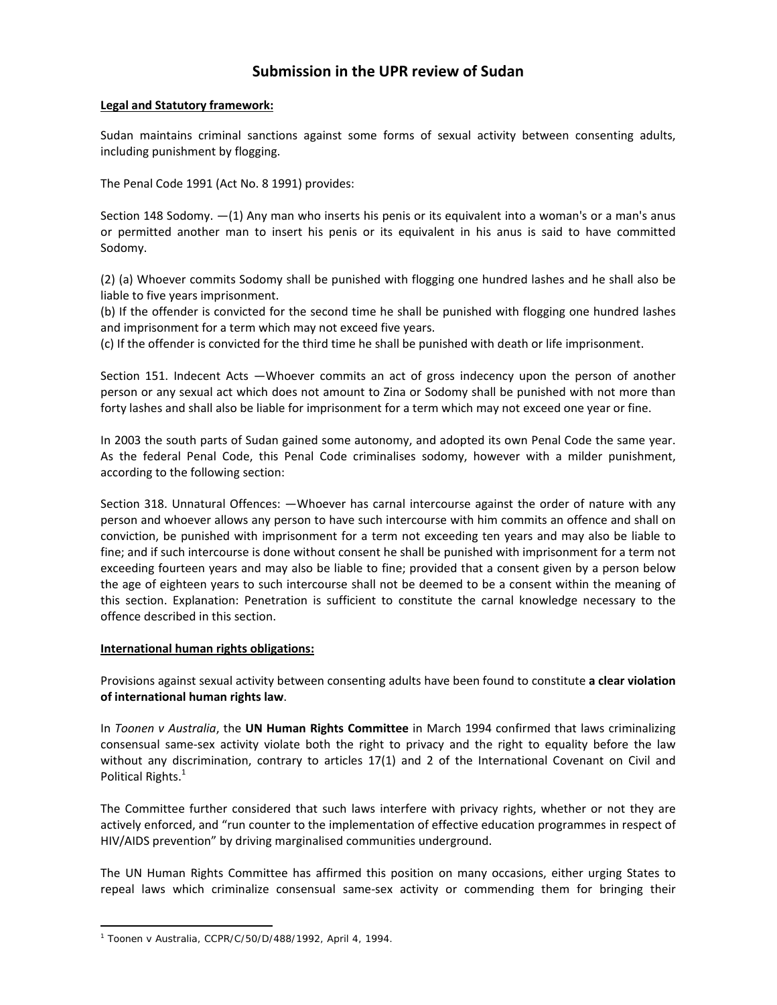# **Submission in the UPR review of Sudan**

## **Legal and Statutory framework:**

Sudan maintains criminal sanctions against some forms of sexual activity between consenting adults, including punishment by flogging.

The Penal Code 1991 (Act No. 8 1991) provides:

Section 148 Sodomy. ―(1) Any man who inserts his penis or its equivalent into a woman's or a man's anus or permitted another man to insert his penis or its equivalent in his anus is said to have committed Sodomy.

(2) (a) Whoever commits Sodomy shall be punished with flogging one hundred lashes and he shall also be liable to five years imprisonment.

(b) If the offender is convicted for the second time he shall be punished with flogging one hundred lashes and imprisonment for a term which may not exceed five years.

(c) If the offender is convicted for the third time he shall be punished with death or life imprisonment.

Section 151. Indecent Acts - Whoever commits an act of gross indecency upon the person of another person or any sexual act which does not amount to Zina or Sodomy shall be punished with not more than forty lashes and shall also be liable for imprisonment for a term which may not exceed one year or fine.

In 2003 the south parts of Sudan gained some autonomy, and adopted its own Penal Code the same year. As the federal Penal Code, this Penal Code criminalises sodomy, however with a milder punishment, according to the following section:

Section 318. Unnatural Offences: —Whoever has carnal intercourse against the order of nature with any person and whoever allows any person to have such intercourse with him commits an offence and shall on conviction, be punished with imprisonment for a term not exceeding ten years and may also be liable to fine; and if such intercourse is done without consent he shall be punished with imprisonment for a term not exceeding fourteen years and may also be liable to fine; provided that a consent given by a person below the age of eighteen years to such intercourse shall not be deemed to be a consent within the meaning of this section. Explanation: Penetration is sufficient to constitute the carnal knowledge necessary to the offence described in this section.

### **International human rights obligations:**

Provisions against sexual activity between consenting adults have been found to constitute **a clear violation of international human rights law**.

In *Toonen v Australia*, the **UN Human Rights Committee** in March 1994 confirmed that laws criminalizing consensual same‐sex activity violate both the right to privacy and the right to equality before the law without any discrimination, contrary to articles 17(1) and 2 of the International Covenant on Civil and Political Rights.<sup>1</sup>

The Committee further considered that such laws interfere with privacy rights, whether or not they are actively enforced, and "run counter to the implementation of effective education programmes in respect of HIV/AIDS prevention" by driving marginalised communities underground.

The UN Human Rights Committee has affirmed this position on many occasions, either urging States to repeal laws which criminalize consensual same‐sex activity or commending them for bringing their

 $\overline{a}$ <sup>1</sup> *Toonen* v *Australia*, CCPR/C/50/D/488/1992, April 4, 1994.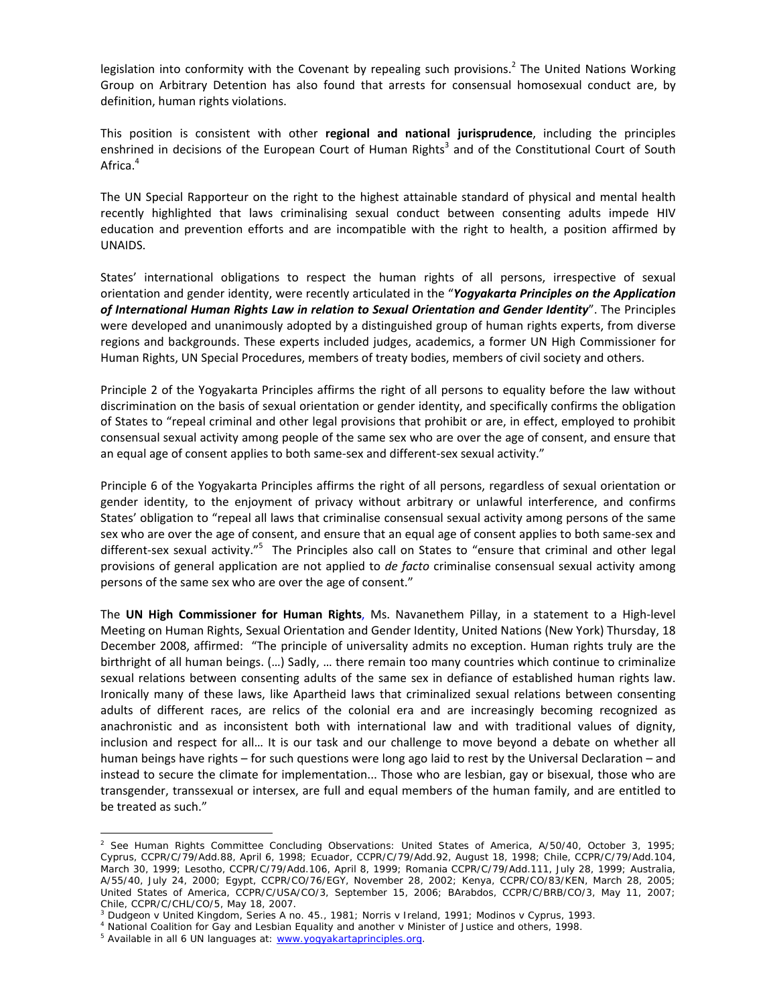legislation into conformity with the Covenant by repealing such provisions.<sup>2</sup> The United Nations Working Group on Arbitrary Detention has also found that arrests for consensual homosexual conduct are, by definition, human rights violations.

This position is consistent with other **regional and national jurisprudence**, including the principles enshrined in decisions of the European Court of Human Rights<sup>3</sup> and of the Constitutional Court of South Africa.<sup>4</sup>

The UN Special Rapporteur on the right to the highest attainable standard of physical and mental health recently highlighted that laws criminalising sexual conduct between consenting adults impede HIV education and prevention efforts and are incompatible with the right to health, a position affirmed by UNAIDS.

States' international obligations to respect the human rights of all persons, irrespective of sexual orientation and gender identity, were recently articulated in the "*Yogyakarta Principles on the Application of International Human Rights Law in relation to Sexual Orientation and Gender Identity*". The Principles were developed and unanimously adopted by a distinguished group of human rights experts, from diverse regions and backgrounds. These experts included judges, academics, a former UN High Commissioner for Human Rights, UN Special Procedures, members of treaty bodies, members of civil society and others.

Principle 2 of the Yogyakarta Principles affirms the right of all persons to equality before the law without discrimination on the basis of sexual orientation or gender identity, and specifically confirms the obligation of States to "repeal criminal and other legal provisions that prohibit or are, in effect, employed to prohibit consensual sexual activity among people of the same sex who are over the age of consent, and ensure that an equal age of consent applies to both same-sex and different-sex sexual activity."

Principle 6 of the Yogyakarta Principles affirms the right of all persons, regardless of sexual orientation or gender identity, to the enjoyment of privacy without arbitrary or unlawful interference, and confirms States' obligation to "repeal all laws that criminalise consensual sexual activity among persons of the same sex who are over the age of consent, and ensure that an equal age of consent applies to both same‐sex and different-sex sexual activity."<sup>5</sup> The Principles also call on States to "ensure that criminal and other legal provisions of general application are not applied to *de facto* criminalise consensual sexual activity among persons of the same sex who are over the age of consent."

The **UN High Commissioner for Human Rights**, Ms. Navanethem Pillay, in a statement to a High‐level Meeting on Human Rights, Sexual Orientation and Gender Identity, United Nations (New York) Thursday, 18 December 2008, affirmed: "The principle of universality admits no exception. Human rights truly are the birthright of all human beings. (…) Sadly, … there remain too many countries which continue to criminalize sexual relations between consenting adults of the same sex in defiance of established human rights law. Ironically many of these laws, like Apartheid laws that criminalized sexual relations between consenting adults of different races, are relics of the colonial era and are increasingly becoming recognized as anachronistic and as inconsistent both with international law and with traditional values of dignity, inclusion and respect for all… It is our task and our challenge to move beyond a debate on whether all human beings have rights – for such questions were long ago laid to rest by the Universal Declaration – and instead to secure the climate for implementation... Those who are lesbian, gay or bisexual, those who are transgender, transsexual or intersex, are full and equal members of the human family, and are entitled to be treated as such."

 $\overline{a}$ 

<sup>&</sup>lt;sup>2</sup> See Human Rights Committee Concluding Observations: United States of America, A/50/40, October 3, 1995; Cyprus, CCPR/C/79/Add.88, April 6, 1998; Ecuador, CCPR/C/79/Add.92, August 18, 1998; Chile, CCPR/C/79/Add.104, March 30, 1999; Lesotho, CCPR/C/79/Add.106, April 8, 1999; Romania CCPR/C/79/Add.111, July 28, 1999; Australia, A/55/40, July 24, 2000; Egypt, CCPR/CO/76/EGY, November 28, 2002; Kenya, CCPR/CO/83/KEN, March 28, 2005; United States of America, CCPR/C/USA/CO/3, September 15, 2006; BArabdos, CCPR/C/BRB/CO/3, May 11, 2007;

Chile, CCPR/C/CHL/CO/5, May 18, 2007.<br><sup>3</sup> Dudgeon v United Kingdom, Series A no. 45., 1981; Norris v Ireland, 1991; Modinos v Cyprus, 1993.

<sup>4</sup> National Coalition for Gay and Lesbian Equality and another v Minister of Justice and others, 1998.

<sup>&</sup>lt;sup>5</sup> Available in all 6 UN languages at: www.yogyakartaprinciples.org.